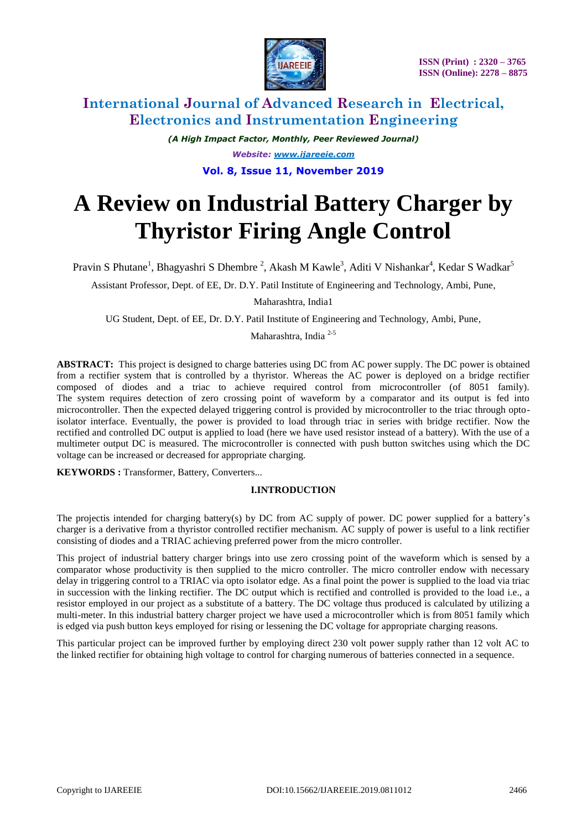

*(A High Impact Factor, Monthly, Peer Reviewed Journal) Website: [www.ijareeie.com](http://www.ijareeie.com/)* **Vol. 8, Issue 11, November 2019**

# **A Review on Industrial Battery Charger by Thyristor Firing Angle Control**

Pravin S Phutane<sup>1</sup>, Bhagyashri S Dhembre<sup>2</sup>, Akash M Kawle<sup>3</sup>, Aditi V Nishankar<sup>4</sup>, Kedar S Wadkar<sup>5</sup>

Assistant Professor, Dept. of EE, Dr. D.Y. Patil Institute of Engineering and Technology, Ambi, Pune,

Maharashtra, India1

UG Student, Dept. of EE, Dr. D.Y. Patil Institute of Engineering and Technology, Ambi, Pune,

Maharashtra, India 2-5

**ABSTRACT:** This project is designed to charge batteries using DC from AC power supply. The DC power is obtained from a rectifier system that is controlled by a thyristor. Whereas the AC power is deployed on a bridge rectifier composed of diodes and a triac to achieve required control from microcontroller (of 8051 family). The system requires detection of zero crossing point of waveform by a comparator and its output is fed into microcontroller. Then the expected delayed triggering control is provided by microcontroller to the triac through optoisolator interface. Eventually, the power is provided to load through triac in series with bridge rectifier. Now the rectified and controlled DC output is applied to load (here we have used resistor instead of a battery). With the use of a multimeter output DC is measured. The microcontroller is connected with push button switches using which the DC voltage can be increased or decreased for appropriate charging.

**KEYWORDS :** Transformer, Battery, Converters...

## **I.INTRODUCTION**

The projectis intended for charging battery(s) by DC from AC supply of power. DC power supplied for a battery's charger is a derivative from a thyristor controlled rectifier mechanism. AC supply of power is useful to a link rectifier consisting of diodes and a TRIAC achieving preferred power from the micro controller.

This project of industrial battery charger brings into use zero crossing point of the waveform which is sensed by a comparator whose productivity is then supplied to the micro controller. The micro controller endow with necessary delay in triggering control to a TRIAC via opto isolator edge. As a final point the power is supplied to the load via triac in succession with the linking rectifier. The DC output which is rectified and controlled is provided to the load i.e., a resistor employed in our project as a substitute of a battery. The DC voltage thus produced is calculated by utilizing a multi-meter. In this industrial battery charger project we have used a microcontroller which is from 8051 family which is edged via push button keys employed for rising or lessening the DC voltage for appropriate charging reasons.

This particular project can be improved further by employing direct 230 volt power supply rather than 12 volt AC to the linked rectifier for obtaining high voltage to control for charging numerous of batteries connected in a sequence.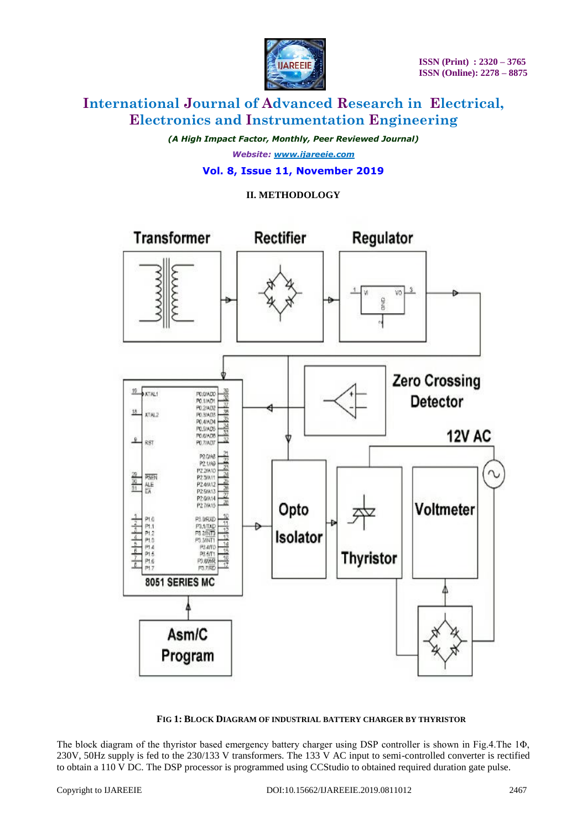

*(A High Impact Factor, Monthly, Peer Reviewed Journal) Website: [www.ijareeie.com](http://www.ijareeie.com/)*

## **Vol. 8, Issue 11, November 2019**

## **II. METHODOLOGY**



#### **FIG 1: BLOCK DIAGRAM OF INDUSTRIAL BATTERY CHARGER BY THYRISTOR**

The block diagram of the thyristor based emergency battery charger using DSP controller is shown in Fig.4.The 1Φ, 230V, 50Hz supply is fed to the 230/133 V transformers. The 133 V AC input to semi-controlled converter is rectified to obtain a 110 V DC. The DSP processor is programmed using CCStudio to obtained required duration gate pulse.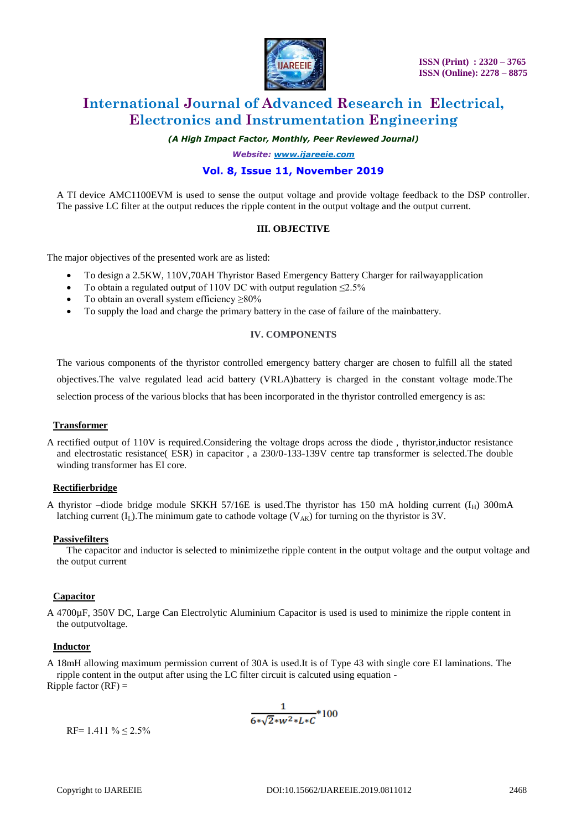

*(A High Impact Factor, Monthly, Peer Reviewed Journal)*

*Website: [www.ijareeie.com](http://www.ijareeie.com/)*

## **Vol. 8, Issue 11, November 2019**

A TI device AMC1100EVM is used to sense the output voltage and provide voltage feedback to the DSP controller. The passive LC filter at the output reduces the ripple content in the output voltage and the output current.

#### **III. OBJECTIVE**

The major objectives of the presented work are as listed:

- To design a 2.5KW, 110V,70AH Thyristor Based Emergency Battery Charger for railwayapplication
- To obtain a regulated output of 110V DC with output regulation  $\leq 2.5\%$
- To obtain an overall system efficiency ≥80%
- To supply the load and charge the primary battery in the case of failure of the mainbattery.

#### **IV. COMPONENTS**

The various components of the thyristor controlled emergency battery charger are chosen to fulfill all the stated objectives.The valve regulated lead acid battery (VRLA)battery is charged in the constant voltage mode.The selection process of the various blocks that has been incorporated in the thyristor controlled emergency is as:

#### **Transformer**

A rectified output of 110V is required.Considering the voltage drops across the diode , thyristor,inductor resistance and electrostatic resistance( ESR) in capacitor , a 230/0-133-139V centre tap transformer is selected.The double winding transformer has EI core.

#### **Rectifierbridge**

A thyristor –diode bridge module SKKH 57/16E is used. The thyristor has 150 mA holding current  $(I_H)$  300mA latching current  $(I_L)$ . The minimum gate to cathode voltage  $(V_{AK})$  for turning on the thyristor is 3V.

#### **Passivefilters**

 The capacitor and inductor is selected to minimizethe ripple content in the output voltage and the output voltage and the output current

#### **Capacitor**

A 4700µF, 350V DC, Large Can Electrolytic Aluminium Capacitor is used is used to minimize the ripple content in the outputvoltage.

#### **Inductor**

A 18mH allowing maximum permission current of 30A is used.It is of Type 43 with single core EI laminations. The ripple content in the output after using the LC filter circuit is calcuted using equation - Ripple factor  $(RF)$  =

$$
\frac{1}{6*\sqrt{2}*w^2*L*C}*100
$$

 $RF= 1.411 \% \le 2.5\%$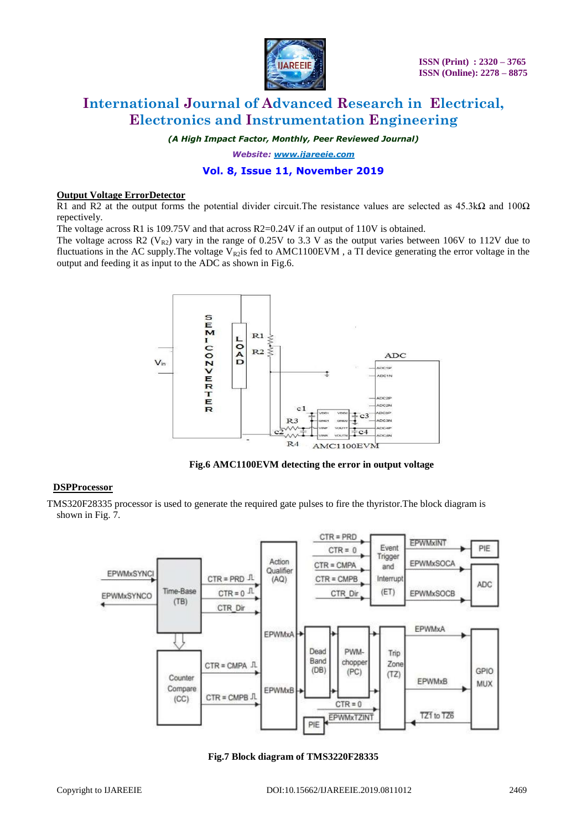

*(A High Impact Factor, Monthly, Peer Reviewed Journal)*

*Website: [www.ijareeie.com](http://www.ijareeie.com/)*

## **Vol. 8, Issue 11, November 2019**

#### **Output Voltage ErrorDetector**

R1 and R2 at the output forms the potential divider circuit. The resistance values are selected as  $45.3\text{k}\Omega$  and  $100\Omega$ repectively.

The voltage across R1 is 109.75V and that across R2=0.24V if an output of 110V is obtained.

The voltage across R2 ( $V_{R2}$ ) vary in the range of 0.25V to 3.3 V as the output varies between 106V to 112V due to fluctuations in the AC supply. The voltage  $V_{R2}$ is fed to AMC1100EVM, a TI device generating the error voltage in the output and feeding it as input to the ADC as shown in Fig.6.



**Fig.6 AMC1100EVM detecting the error in output voltage**

#### **DSPProcessor**

TMS320F28335 processor is used to generate the required gate pulses to fire the thyristor.The block diagram is shown in Fig. 7.



**Fig.7 Block diagram of TMS3220F28335**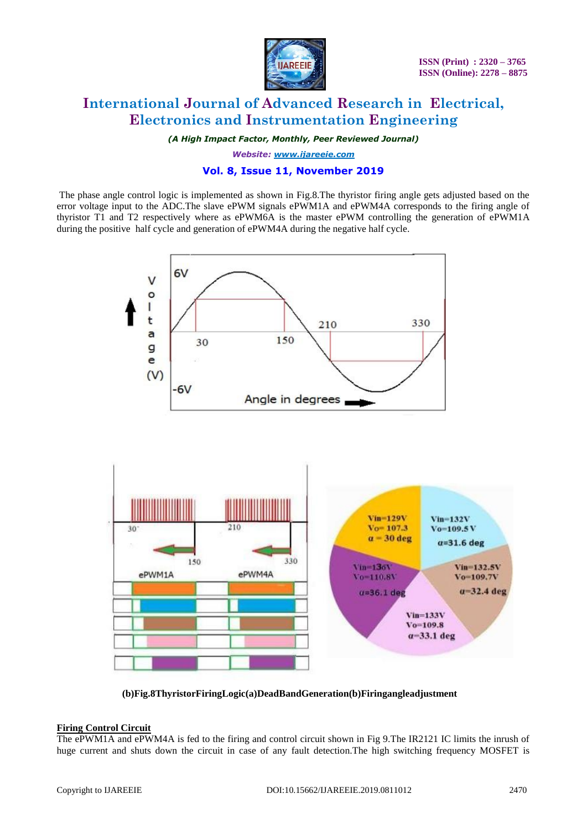

*(A High Impact Factor, Monthly, Peer Reviewed Journal)*

*Website: [www.ijareeie.com](http://www.ijareeie.com/)*

## **Vol. 8, Issue 11, November 2019**

The phase angle control logic is implemented as shown in Fig.8.The thyristor firing angle gets adjusted based on the error voltage input to the ADC.The slave ePWM signals ePWM1A and ePWM4A corresponds to the firing angle of thyristor T1 and T2 respectively where as ePWM6A is the master ePWM controlling the generation of ePWM1A during the positive half cycle and generation of ePWM4A during the negative half cycle.



**(b)Fig.8ThyristorFiringLogic(a)DeadBandGeneration(b)Firingangleadjustment**

#### **Firing Control Circuit**

The ePWM1A and ePWM4A is fed to the firing and control circuit shown in Fig 9.The IR2121 IC limits the inrush of huge current and shuts down the circuit in case of any fault detection.The high switching frequency MOSFET is